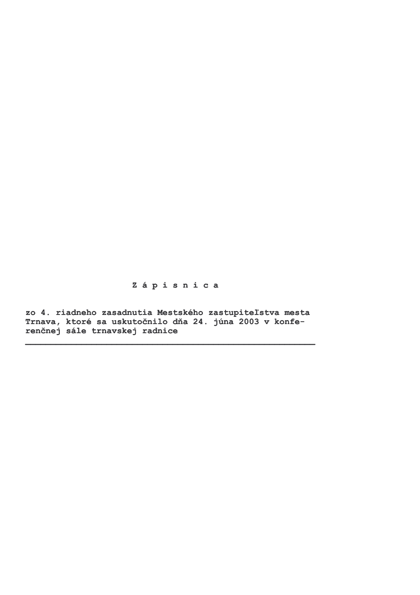Zápisnica

zo 4. riadneho zasadnutia Mestského zastupiteľstva mesta<br>Trnava, ktoré sa uskutočnilo dňa 24. júna 2003 v konferenčnej sále trnavskej radnice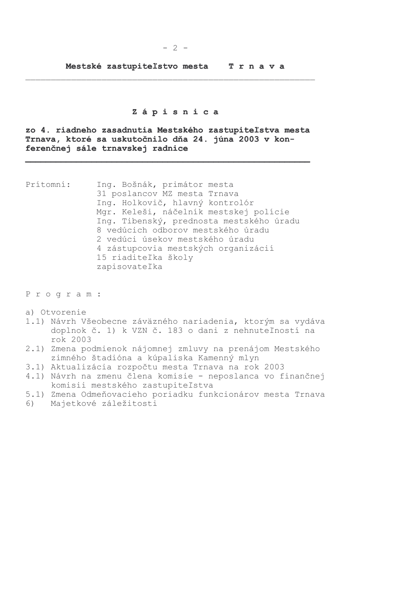### Zápisnica

zo 4. riadneho zasadnutia Mestského zastupiteľstva mesta Trnava, ktoré sa uskutočnilo dňa 24. júna 2003 v konferenčnej sále trnavskej radnice

Prítomní: Ing. Bošnák, primátor mesta 31 poslancov MZ mesta Trnava Ing. Holkovič, hlavný kontrolór Mgr. Keleši, náčelník mestskej polície Ing. Tibenský, prednosta mestského úradu 8 vedúcich odborov mestského úradu 2 vedúci úsekov mestského úradu 4 zástupcovia mestských organizácií 15 riaditeľka školy zapisovateľka

Program:

- a) Otvorenie
- 1.1) Návrh Všeobecne záväzného nariadenia, ktorým sa vydáva doplnok č. 1) k VZN č. 183 o dani z nehnuteľností na rok 2003
- 2.1) Zmena podmienok nájomnej zmluvy na prenájom Mestského zimného štadióna a kúpaliska Kamenný mlyn
- 3.1) Aktualizácia rozpočtu mesta Trnava na rok 2003
- 4.1) Návrh na zmenu člena komisie neposlanca vo finančnej komisii mestského zastupiteľstva
- 5.1) Zmena Odmeňovacieho poriadku funkcionárov mesta Trnava
- 6) Majetkové záležitosti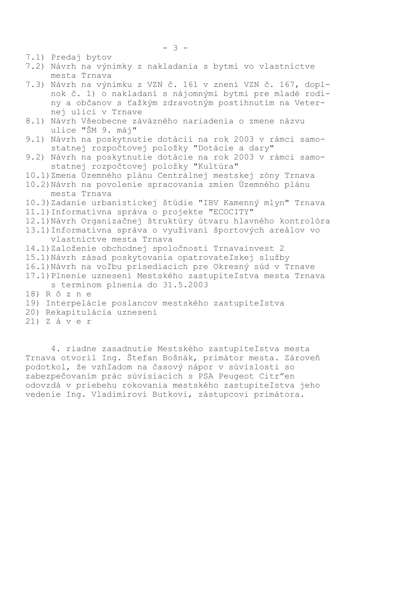7.1) Predaj bytov

7.2) Návrh na výnimky z nakladania s bytmi vo vlastníctve mesta Trnava

7.3) Návrh na výnimku z VZN č. 161 v znení VZN č. 167, doplnok č. 1) o nakladaní s nájomnými bytmi pre mladé rodiny a občanov s ťažkým zdravotným postihnutím na Veternej ulici v Trnave

- 8.1) Návrh Všeobecne záväzného nariadenia o zmene názvu ulice "ŠM 9. máj"
- 9.1) Návrh na poskytnutie dotácií na rok 2003 v rámci samostatnej rozpočtovej položky "Dotácie a dary"
- 9.2) Návrh na poskytnutie dotácie na rok 2003 v rámci samostatnej rozpočtovej položky "Kultúra"
- 10.1) Zmena Územného plánu Centrálnej mestskej zóny Trnava
- 10.2) Návrh na povolenie spracovania zmien Územného plánu mesta Trnava
- 10.3) Zadanie urbanistickej štúdie "IBV Kamenný mlyn" Trnava 11.1) Informatívna správa o projekte "ECOCITY"
- 12.1) Návrh Organizačnej štruktúry útvaru hlavného kontrolóra
- 13.1) Informatívna správa o využívaní športových areálov vo vlastníctve mesta Trnava
- 14.1) Založenie obchodnej spoločnosti Trnavainvest 2
- 15.1) Návrh zásad poskytovania opatrovateľskej služby
- 16.1) Návrh na voľbu prísediacich pre Okresný súd v Trnave
- 17.1) Plnenie uznesení Mestského zastupiteľstva mesta Trnava s termínom plnenia do 31.5.2003
- 18) R ô z n e
- 19) Interpelácie poslancov mestského zastupiteľstva
- 20) Rekapitulácia uznesení
- $21)$  Záver

4. riadne zasadnutie Mestského zastupiteľstva mesta Trnava otvoril Ing. Štefan Bošnák, primátor mesta. Zároveň podotkol, že vzhľadom na časový nápor v súvislosti so zabezpečovaním prác súvisiacich s PSA Peugeot Citr"en odovzdá v priebehu rokovania mestského zastupiteľstva jeho vedenie Ing. Vladimírovi Butkovi, zástupcovi primátora.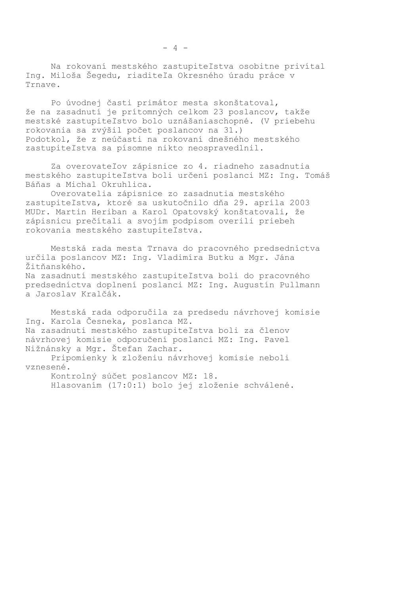Na rokovaní mestského zastupiteľstva osobitne privítal Ing. Miloša Šegedu, riaditeľa Okresného úradu práce v Trnave.

Po úvodnej časti primátor mesta skonštatoval, že na zasadnutí je prítomných celkom 23 poslancov, takže mestské zastupiteľstvo bolo uznášaniaschopné. (V priebehu rokovania sa zvýšil počet poslancov na 31.) Podotkol, že z neúčasti na rokovaní dnešného mestského zastupiteľstva sa písomne nikto neospravedlnil.

Za overovateľov zápisnice zo 4. riadneho zasadnutia mestského zastupiteľstva boli určení poslanci MZ: Ing. Tomáš Báňas a Michal Okruhlica.

Overovatelia zápisnice zo zasadnutia mestského zastupiteľstva, ktoré sa uskutočnilo dňa 29. apríla 2003 MUDr. Martin Heriban a Karol Opatovský konštatovali, že zápisnicu prečítali a svojím podpisom overili priebeh rokovania mestského zastupiteľstva.

Mestská rada mesta Trnava do pracovného predsedníctva určila poslancov MZ: Ing. Vladimíra Butku a Mgr. Jána Žitňanského. Na zasadnutí mestského zastupiteľstva boli do pracovného predsedníctva doplnení poslanci MZ: Ing. Augustín Pullmann a Jaroslav Kralčák.

Mestská rada odporučila za predsedu návrhovej komisie Inq. Karola Česneka, poslanca MZ. Na zasadnutí mestského zastupiteľstva boli za členov návrhovej komisie odporučení poslanci MZ: Ing. Pavel Nižnánsky a Mgr. Štefan Zachar.

Pripomienky k zloženiu návrhovej komisie neboli vznesené.

Kontrolný súčet poslancov MZ: 18. Hlasovaním (17:0:1) bolo jej zloženie schválené.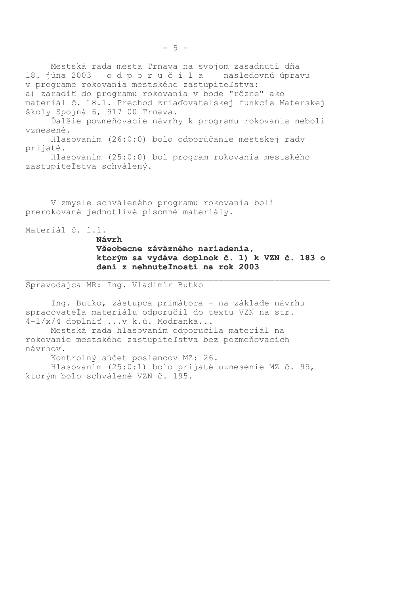Mestská rada mesta Trnava na svojom zasadnutí dňa 18. júna 2003 odporučila nasledovnú úpravu v programe rokovania mestského zastupiteľstva: a) zaradiť do programu rokovania v bode "rôzne" ako materiál č. 18.1. Prechod zriaďovateľskej funkcie Materskej školy Spojná 6, 917 00 Trnava.

Ďalšie pozmeňovacie návrhy k programu rokovania neboli vznesené.

Hlasovaním (26:0:0) bolo odporúčanie mestskej rady prijaté.

Hlasovaním (25:0:0) bol program rokovania mestského zastupiteľstva schválený.

V zmysle schváleného programu rokovania boli prerokované jednotlivé písomné materiály.

Materiál č. 1.1.

Návrh

Všeobecne záväzného nariadenia, ktorým sa vydáva doplnok č. 1) k VZN č. 183 o dani z nehnuteľností na rok 2003

Spravodajca MR: Ing. Vladimír Butko

Ing. Butko, zástupca primátora - na základe návrhu spracovateľa materiálu odporučil do textu VZN na str. 4-1/x/4 doplniť ...v k.ú. Modranka...

Mestská rada hlasovaním odporučila materiál na rokovanie mestského zastupiteľstva bez pozmeňovacích návrhov.

Kontrolný súčet poslancov MZ: 26. Hlasovaním (25:0:1) bolo prijaté uznesenie MZ č. 99, ktorým bolo schválené VZN č. 195.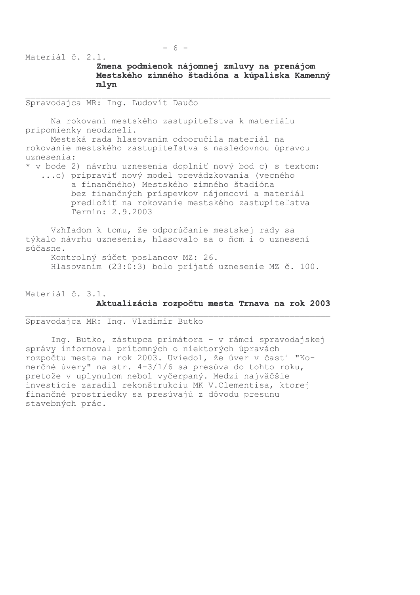Materiál č. 2.1.

# Zmena podmienok nájomnej zmluvy na prenájom Mestského zimného štadióna a kúpaliska Kamenný mlyn

Spravodajca MR: Ing. Ľudovít Daučo

Na rokovaní mestského zastupiteľstva k materiálu pripomienky neodzneli.

Mestská rada hlasovaním odporučila materiál na rokovanie mestského zastupiteľstva s nasledovnou úpravou uznesenia:

\* v bode 2) návrhu uznesenia doplniť nový bod c) s textom: ...c) pripraviť nový model prevádzkovania (vecného a finančného) Mestského zimného štadióna bez finančných príspevkov nájomcovi a materiál predložiť na rokovanie mestského zastupiteľstva Termín: 2.9.2003

Vzhľadom k tomu, že odporúčanie mestskej rady sa týkalo návrhu uznesenia, hlasovalo sa o ňom i o uznesení súčasne.

Kontrolný súčet poslancov MZ: 26. Hlasovaním (23:0:3) bolo prijaté uznesenie MZ č. 100.

Materiál č. 3.1. Aktualizácia rozpočtu mesta Trnava na rok 2003

Spravodaica MR: Ing. Vladimír Butko

Ing. Butko, zástupca primátora - v rámci spravodajskej správy informoval prítomných o niektorých úpravách rozpočtu mesta na rok 2003. Uviedol, že úver v časti "Komerčné úvery" na str. 4-3/1/6 sa presúva do tohto roku, pretože v uplynulom nebol vyčerpaný. Medzi najväčšie investície zaradil rekonštrukciu MK V.Clementisa, ktorej finančné prostriedky sa presúvajú z dôvodu presunu stavebných prác.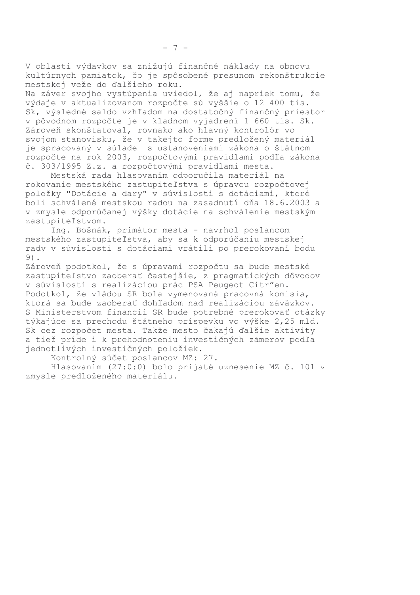V oblasti výdavkov sa znižujú finančné náklady na obnovu kultúrnych pamiatok, čo je spôsobené presunom rekonštrukcie mestskej veže do ďalšieho roku.

Na záver svojho vystúpenia uviedol, že aj napriek tomu, že výdaje v aktualizovanom rozpočte sú vyššie o 12 400 tis. Sk, výsledné saldo vzhľadom na dostatočný finančný priestor v pôvodnom rozpočte je v kladnom vyjadrení 1 660 tis. Sk. Zároveň skonštatoval, rovnako ako hlavný kontrolór vo svojom stanovisku, že v takejto forme predložený materiál je spracovaný v súlade s ustanoveniami zákona o štátnom rozpočte na rok 2003, rozpočtovými pravidlami podľa zákona č. 303/1995 Z.z. a rozpočtovými pravidlami mesta.

Mestská rada hlasovaním odporučila materiál na rokovanie mestského zastupiteľstva s úpravou rozpočtovej položky "Dotácie a dary" v súvislosti s dotáciami, ktoré boli schválené mestskou radou na zasadnutí dňa 18.6.2003 a v zmysle odporúčanej výšky dotácie na schválenie mestským zastupiteľstvom.

Ing. Bošnák, primátor mesta - navrhol poslancom mestského zastupiteľstva, aby sa k odporúčaniu mestskej rady v súvislosti s dotáciami vrátili po prerokovaní bodu 9).

Zároveň podotkol, že s úpravami rozpočtu sa bude mestské zastupiteľstvo zaoberať častejšie, z pragmatických dôvodov v súvislosti s realizáciou prác PSA Peugeot Citr"en. Podotkol, že vládou SR bola vymenovaná pracovná komisia, ktorá sa bude zaoberať dohľadom nad realizáciou záväzkov. S Ministerstvom financií SR bude potrebné prerokovať otázky týkajúce sa prechodu štátneho príspevku vo výške 2,25 mld. Sk cez rozpočet mesta. Takže mesto čakajú ďalšie aktivity a tiež príde i k prehodnoteniu investičných zámerov podľa jednotlivých investičných položiek.

Kontrolný súčet poslancov MZ: 27.

Hlasovaním (27:0:0) bolo prijaté uznesenie MZ č. 101 v zmysle predloženého materiálu.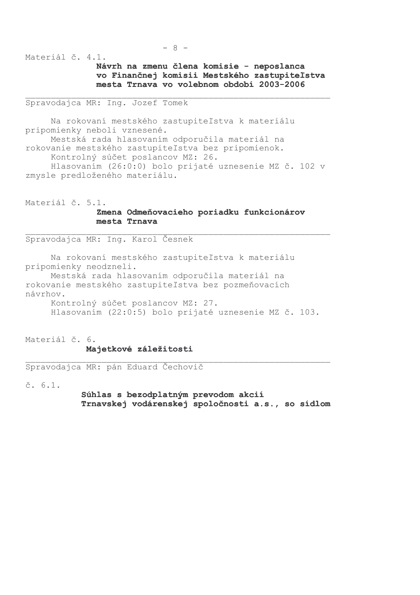$-8-$ 

Materiál č. 4.1.

Návrh na zmenu člena komisie - neposlanca vo Finančnej komisii Mestského zastupiteľstva mesta Trnava vo volebnom období 2003-2006

Spravodajca MR: Inq. Jozef Tomek

Na rokovaní mestského zastupiteľstva k materiálu pripomienky neboli vznesené. Mestská rada hlasovaním odporučila materiál na rokovanie mestského zastupiteľstva bez pripomienok. Kontrolný súčet poslancov MZ: 26. Hlasovaním (26:0:0) bolo prijaté uznesenie MZ č. 102 v zmysle predloženého materiálu.

Materiál č. 5.1.

# Zmena Odmeňovacieho poriadku funkcionárov mesta Trnava

Spravodajca MR: Ing. Karol Česnek

Na rokovaní mestského zastupiteľstva k materiálu pripomienky neodzneli.

Mestská rada hlasovaním odporučila materiál na rokovanie mestského zastupiteľstva bez pozmeňovacích návrhov. Kontrolný súčet poslancov MZ: 27.

Hlasovaním (22:0:5) bolo prijaté uznesenie MZ č. 103.

Materiál č. 6.

#### Majetkové záležitosti

Spravodajca MR: pán Eduard Čechovič

 $\check{c}$ , 6.1.

Súhlas s bezodplatným prevodom akcií Trnavskej vodárenskej spoločnosti a.s., so sídlom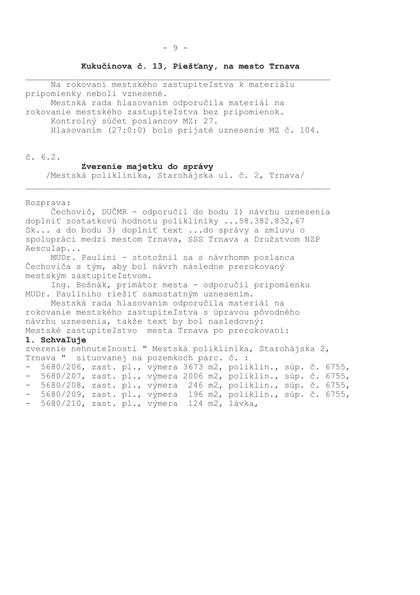### Kukučínova č. 13, Piešťany, na mesto Trnava

Na rokovaní mestského zastupiteľstva k materiálu pripomienky neboli vznesené.

Mestská rada hlasovaním odporučila materiál na rokovanie mestského zastupiteľstva bez pripomienok.

Kontrolný súčet poslancov MZ: 27.

Hlasovaním (27:0:0) bolo prijaté uznesenie MZ č. 104.

 $\check{c}$ . 6.2.

#### Zverenie majetku do správy

/Mestská poliklinika, Starohájska ul. č. 2, Trnava/

Rozprava:

Čechovič, DUČMR - odporučil do bodu 1) návrhu uznesenia doplniť zostatkovú hodnotu polikliniky ...58.382.832,67 Sk... a do bodu 3) doplniť text ...do správy a zmluvu o spolupráci medzi mestom Trnava, SSS Trnava a Družstvom NZP Aesculap...

MUDr. Paulini - stotožnil sa s návrhomm poslanca Čechoviča s tým, aby bol návrh následne prerokovaný mestským zastupiteľstvom.

Ing. Bošnák, primátor mesta - odporučil pripomienku MUDr. Pauliniho riešiť samostatným uznesením.

Mestská rada hlasovaním odporučila materiál na rokovanie mestského zastupiteľstva s úpravou pôvodného návrhu uznesenia, takže text by bol nasledovný: Mestské zastupiteľstvo mesta Trnava po prerokovaní:

#### 1. Schvaľuje

```
zverenie nehnuteľnosti " Mestská poliklinika, Starohájska 2,
Trnava " situovanej na pozemkoch parc. č. :
- 5680/206, zast. pl., výmera 3673 m2, poliklin., súp. č. 6755,
- 5680/207, zast. pl., výmera 2006 m2, poliklin., súp. č. 6755,
```
- 5680/208, zast. pl., výmera 246 m2, poliklin., súp. č. 6755, - 5680/209, zast. pl., výmera 196 m2, poliklin., súp. č. 6755, - 5680/210, zast. pl., výmera 124 m2, lávka,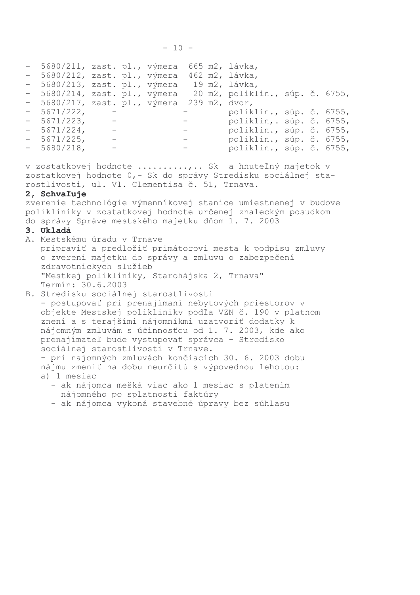| - 5680/211, zast. pl., výmera |                                                             |  |                                                   | 665 m2, lávka,                  |  |  |
|-------------------------------|-------------------------------------------------------------|--|---------------------------------------------------|---------------------------------|--|--|
| - 5680/212, zast. pl., výmera |                                                             |  |                                                   | 462 m2, lávka,                  |  |  |
| - 5680/213, zast. pl., výmera |                                                             |  |                                                   | 19 m2, lávka,                   |  |  |
| - 5680/214, zast. pl., výmera |                                                             |  |                                                   | 20 m2, poliklin., súp. č. 6755, |  |  |
| - 5680/217, zast. pl., výmera |                                                             |  |                                                   | 239 m2, dvor,                   |  |  |
| $-5671/222,$                  |                                                             |  |                                                   | poliklin., súp. č. 6755,        |  |  |
| $-5671/223$ , $-$             |                                                             |  |                                                   | poliklin,. súp. č. 6755,        |  |  |
| $-5671/224$ , $-$             |                                                             |  | $\frac{1}{2}$ and $\frac{1}{2}$ and $\frac{1}{2}$ | poliklin., súp. č. 6755,        |  |  |
| $-5671/225$ , $-$             |                                                             |  | $\frac{1}{2}$ and $\frac{1}{2}$                   | poliklin., súp. č. 6755,        |  |  |
| $-5680/218$ ,                 | $\mathcal{L}_{\mathcal{A}}$ and $\mathcal{L}_{\mathcal{A}}$ |  |                                                   | poliklin., súp. č. 6755,        |  |  |

v zostatkovej hodnote .........,.. Sk a hnuteľný majetok v zostatkovej hodnote 0,- Sk do správy Stredisku sociálnej starostlivosti, ul. Vl. Clementisa č. 51, Trnava.

#### 2, Schvaľuje

zverenie technológie výmenníkovej stanice umiestnenej v budove polikliniky v zostatkovej hodnote určenej znaleckým posudkom do správy Správe mestského majetku dňom 1. 7. 2003

### 3. Ukladá

- A. Mestskému úradu v Trnave pripraviť a predložiť primátorovi mesta k podpisu zmluvy o zverení majetku do správy a zmluvu o zabezpečení zdravotníckych služieb "Mestkej polikliniky, Starohájska 2, Trnava" Termín: 30.6.2003
- B. Stredisku sociálnej starostlivosti

- postupovať pri prenajímaní nebytových priestorov v objekte Mestskej polikliniky podľa VZN č. 190 v platnom znení a s terajšími nájomníkmi uzatvoriť dodatky k nájomným zmluvám s účinnosťou od 1. 7. 2003, kde ako prenajímateľ bude vystupovať správca - Stredisko sociálnej starostlivosti v Trnave. - pri najomných zmluvách končiacich 30. 6. 2003 dobu nájmu zmeniť na dobu neurčitú s výpovednou lehotou:

- a) 1 mesiac
	- ak nájomca mešká viac ako 1 mesiac s platením nájomného po splatnosti faktúry
	- ak nájomca vykoná stavebné úpravy bez súhlasu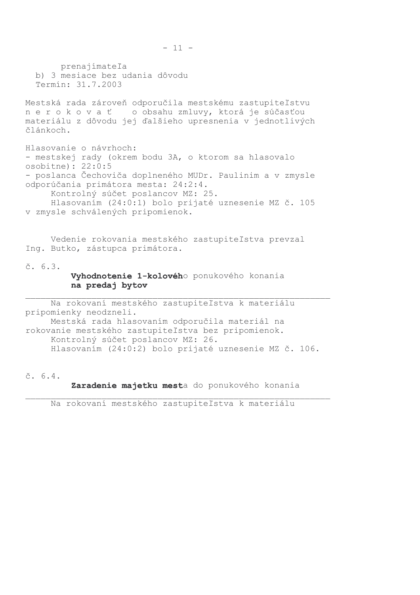prenajímateľa b) 3 mesiace bez udania dôvodu Termín: 31.7.2003 Mestská rada zároveň odporučila mestskému zastupiteľstvu nerokovať o obsahu zmluvy, ktorá je súčasťou materiálu z dôvodu jej ďalšieho upresnenia v jednotlivých článkoch. Hlasovanie o návrhoch: - mestskej rady (okrem bodu 3A, o ktorom sa hlasovalo  $osobitne): 22:0:5$ - poslanca Čechoviča doplneného MUDr. Paulinim a v zmysle odporúčania primátora mesta: 24:2:4. Kontrolný súčet poslancov MZ: 25. Hlasovaním (24:0:1) bolo prijaté uznesenie MZ č. 105 v zmysle schválených pripomienok. Vedenie rokovania mestského zastupiteľstva prevzal Ing. Butko, zástupca primátora.  $\check{c}$ . 6.3. Vyhodnotenie 1-kolového ponukového konania na predaj bytov Na rokovaní mestského zastupiteľstva k materiálu pripomienky neodzneli.

Mestská rada hlasovaním odporučila materiál na rokovanie mestského zastupiteľstva bez pripomienok. Kontrolný súčet poslancov MZ: 26. Hlasovaním (24:0:2) bolo prijaté uznesenie MZ č. 106.

 $\check{c}$ . 6.4.

Zaradenie majetku mesta do ponukového konania

Na rokovaní mestského zastupiteľstva k materiálu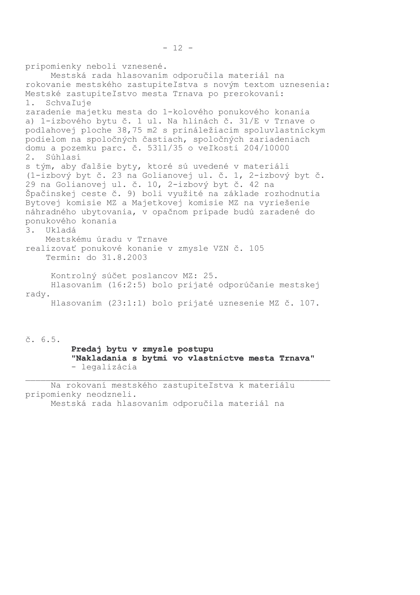pripomienky neboli vznesené. Mestská rada hlasovaním odporučila materiál na rokovanie mestského zastupiteľstva s novým textom uznesenia: Mestské zastupiteľstvo mesta Trnava po prerokovaní:  $1.$ Schvaľuje zaradenie majetku mesta do 1-kolového ponukového konania a) 1-izbového bytu č. 1 ul. Na hlinách č. 31/E v Trnave o podlahovej ploche 38,75 m2 s prináležiacim spoluvlastníckym podielom na spoločných častiach, spoločných zariadeniach domu a pozemku parc. č. 5311/35 o veľkosti 204/10000  $2$ . Súhlasí s tým, aby ďalšie byty, ktoré sú uvedené v materiáli (1-izbový byt č. 23 na Golianovej ul. č. 1, 2-izbový byt č. 29 na Golianovej ul. č. 10, 2-izbový byt č. 42 na Špačinskej ceste č. 9) boli využité na základe rozhodnutia Bytovej komisie MZ a Majetkovej komisie MZ na vyriešenie náhradného ubytovania, v opačnom prípade budú zaradené do ponukového konania 3. Ukladá Mestskému úradu v Trnave realizovať ponukové konanie v zmysle VZN č. 105 Termín: do 31.8.2003 Kontrolný súčet poslancov MZ: 25. Hlasovaním (16:2:5) bolo prijaté odporúčanie mestskej rady. Hlasovaním (23:1:1) bolo prijaté uznesenie MZ č. 107.

 $\check{c}$ , 6.5. Predaj bytu v zmysle postupu "Nakladania s bytmi vo vlastníctve mesta Trnava" - legalizácia

Na rokovaní mestského zastupiteľstva k materiálu pripomienky neodzneli. Mestská rada hlasovaním odporučila materiál na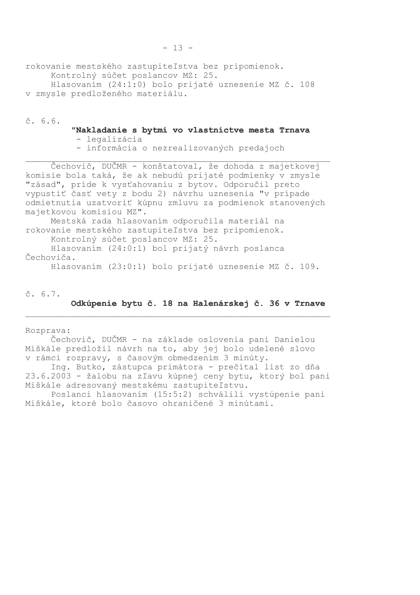rokovanie mestského zastupiteľstva bez pripomienok. Kontrolný súčet poslancov MZ: 25. Hlasovaním (24:1:0) bolo prijaté uznesenie MZ č. 108 v zmysle predloženého materiálu.

 $\check{c}$ , 6.6.

"Nakladanie s bytmi vo vlastníctve mesta Trnava - legalizácia

- informácia o nezrealizovaných predajoch

Cechovič, DUČMR - konštatoval, že dohoda z majetkovej komisie bola taká, že ak nebudú prijaté podmienky v zmysle "zásad", príde k vysťahovaniu z bytov. Odporučil preto vypustiť časť vety z bodu 2) návrhu uznesenia "v prípade odmietnutia uzatvoriť kúpnu zmluvu za podmienok stanovených majetkovou komisiou MZ". Mestská rada hlasovaním odporučila materiál na rokovanie mestského zastupiteľstva bez pripomienok. Kontrolný súčet poslancov MZ: 25.

Hlasovaním (24:0:1) bol prijatý návrh poslanca Čechoviča.

Hlasovaním (23:0:1) bolo prijaté uznesenie MZ č. 109.

 $\check{c}$ . 6.7.

Odkúpenie bytu č. 18 na Halenárskej č. 36 v Trnave

Rozprava:

Čechovič, DUČMR - na základe oslovenia pani Danielou Miškále predložil návrh na to, aby jej bolo udelené slovo v rámci rozpravy, s časovým obmedzením 3 minúty.

Ing. Butko, zástupca primátora - prečítal list zo dňa 23.6.2003 - žalobu na zľavu kúpnej ceny bytu, ktorý bol pani Miškále adresovaný mestskému zastupiteľstvu.

Poslanci hlasovaním (15:5:2) schválili vystúpenie pani Miškále, ktoré bolo časovo ohraničené 3 minútami.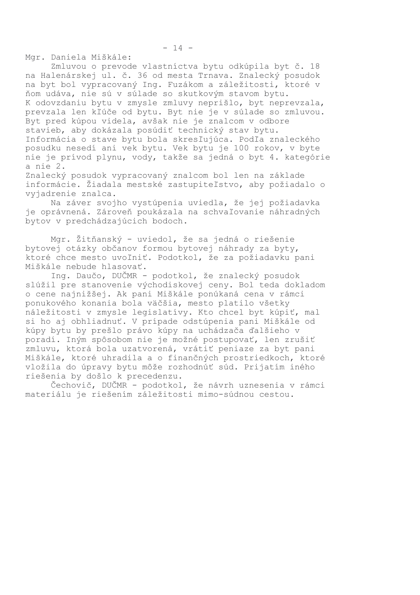Mgr. Daniela Miškále:

Zmluvou o prevode vlastníctva bytu odkúpila byt č. 18 na Halenárskej ul. č. 36 od mesta Trnava. Znalecký posudok na byt bol vypracovaný Ing. Fuzákom a záležitosti, ktoré v ňom udáva, nie sú v súlade so skutkovým stavom bytu. K odovzdaniu bytu v zmysle zmluvy neprišlo, byt neprevzala, prevzala len kľúče od bytu. Byt nie je v súlade so zmluvou. Byt pred kúpou videla, avšak nie je znalcom v odbore stavieb, aby dokázala posúdiť technický stav bytu. Informácia o stave bytu bola skresľujúca. Podľa znaleckého posudku nesedí ani vek bytu. Vek bytu je 100 rokov, v byte nie je prívod plynu, vody, takže sa jedná o byt 4. kategórie a nie 2. Znalecký posudok vypracovaný znalcom bol len na základe

informácie. Žiadala mestské zastupiteľstvo, aby požiadalo o vyjadrenie znalca.

Na záver svojho vystúpenia uviedla, že jej požiadavka je oprávnená. Zároveň poukázala na schvaľovanie náhradných bytov v predchádzajúcich bodoch.

Mgr. Žitňanský - uviedol, že sa jedná o riešenie bytovej otázky občanov formou bytovej náhrady za byty, ktoré chce mesto uvoľniť. Podotkol, že za požiadavku pani Miškále nebude hlasovať.

Ing. Daučo, DUČMR - podotkol, že znalecký posudok slúžil pre stanovenie východiskovej ceny. Bol teda dokladom o cene najnižšej. Ak pani Miškále ponúkaná cena v rámci ponukového konania bola väčšia, mesto platilo všetky náležitosti v zmysle legislatívy. Kto chcel byt kúpiť, mal si ho aj obhliadnuť. V prípade odstúpenia pani Miškále od kúpy bytu by prešlo právo kúpy na uchádzača ďalšieho v poradí. Iným spôsobom nie je možné postupovať, len zrušiť zmluvu, ktorá bola uzatvorená, vrátiť peniaze za byt pani Miškále, ktoré uhradila a o finančných prostriedkoch, ktoré vložila do úpravy bytu môže rozhodnúť súd. Prijatím iného riešenia by došlo k precedenzu.

Čechovič, DUČMR - podotkol, že návrh uznesenia v rámci materiálu je riešením záležitosti mimo-súdnou cestou.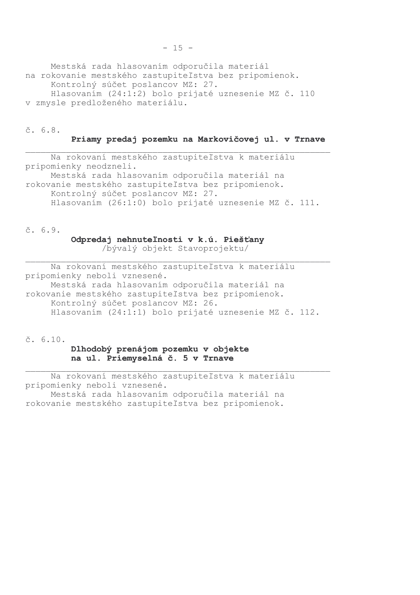Mestská rada hlasovaním odporučila materiál na rokovanie mestského zastupiteľstva bez pripomienok. Kontrolný súčet poslancov MZ: 27. Hlasovaním (24:1:2) bolo prijaté uznesenie MZ č. 110 v zmysle predloženého materiálu.

#### $\check{c}$ , 6.8.

#### Priamy predaj pozemku na Markovičovej ul. v Trnave

Na rokovaní mestského zastupiteľstva k materiálu pripomienky neodzneli. Mestská rada hlasovaním odporučila materiál na rokovanie mestského zastupiteľstva bez pripomienok. Kontrolný súčet poslancov MZ: 27. Hlasovaním (26:1:0) bolo prijaté uznesenie MZ č. 111.

 $5.6.9.$ 

#### Odpredaj nehnuteľnosti v k.ú. Piešťany

/bývalý objekt Stavoprojektu/

Na rokovaní mestského zastupiteľstva k materiálu pripomienky neboli vznesené. Mestská rada hlasovaním odporučila materiál na rokovanie mestského zastupiteľstva bez pripomienok. Kontrolný súčet poslancov MZ: 26. Hlasovaním (24:1:1) bolo prijaté uznesenie MZ č. 112.

 $\check{c}$ , 6.10.

### Dlhodobý prenájom pozemku v objekte na ul. Priemyselná č. 5 v Trnave

Na rokovaní mestského zastupiteľstva k materiálu pripomienky neboli vznesené. Mestská rada hlasovaním odporučila materiál na rokovanie mestského zastupiteľstva bez pripomienok.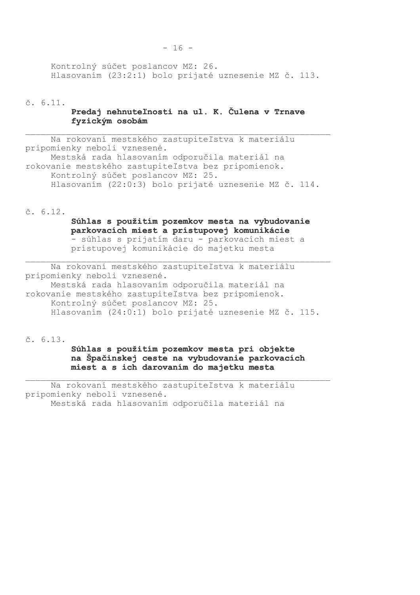Kontrolný súčet poslancov MZ: 26. Hlasovaním (23:2:1) bolo prijaté uznesenie MZ č. 113.

 $\check{c}$ . 6.11.

### Predaj nehnuteľnosti na ul. K. Čulena v Trnave fvzickým osobám

Na rokovaní mestského zastupiteľstva k materiálu pripomienky neboli vznesené. Mestská rada hlasovaním odporučila materiál na rokovanie mestského zastupiteľstva bez pripomienok. Kontrolný súčet poslancov MZ: 25. Hlasovaním (22:0:3) bolo prijaté uznesenie MZ č. 114.

 $\check{c}$ . 6.12.

# Súhlas s použitím pozemkov mesta na vybudovanie parkovacích miest a prístupovej komunikácie

- súhlas s prijatím daru - parkovacích miest a prístupovej komunikácie do majetku mesta

Na rokovaní mestského zastupiteľstva k materiálu pripomienky neboli vznesené. Mestská rada hlasovaním odporučila materiál na rokovanie mestského zastupiteľstva bez pripomienok. Kontrolný súčet poslancov MZ: 25. Hlasovaním (24:0:1) bolo prijaté uznesenie MZ č. 115.

 $\check{c}$ . 6.13.

Súhlas s použitím pozemkov mesta pri objekte na Špačinskej ceste na vybudovanie parkovacích miest a s ich darovaním do majetku mesta

Na rokovaní mestského zastupiteľstva k materiálu pripomienky neboli vznesené. Mestská rada hlasovaním odporučila materiál na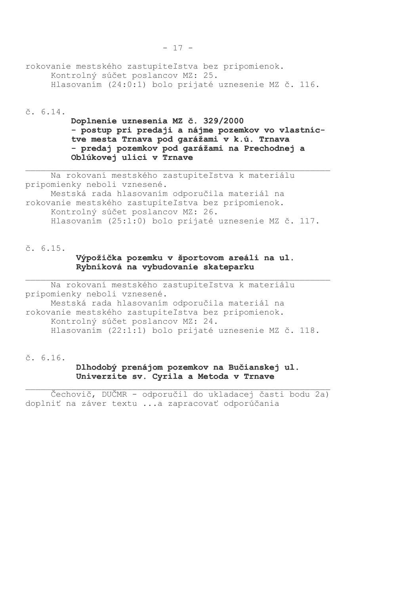### rokovanie mestského zastupiteľstva bez pripomienok. Kontrolný súčet poslancov MZ: 25. Hlasovaním (24:0:1) bolo prijaté uznesenie MZ č. 116.

 $\check{c}$ . 6.14.

## Doplnenie uznesenia MZ č. 329/2000 - postup pri predaji a nájme pozemkov vo vlastníctve mesta Trnava pod garážami v k.ú. Trnava - predaj pozemkov pod garážami na Prechodnej a Oblúkovej ulici v Trnave

Na rokovaní mestského zastupiteľstva k materiálu pripomienky neboli vznesené. Mestská rada hlasovaním odporučila materiál na rokovanie mestského zastupiteľstva bez pripomienok. Kontrolný súčet poslancov MZ: 26. Hlasovaním (25:1:0) bolo prijaté uznesenie MZ č. 117.

 $\check{c}$ . 6.15.

## Výpožička pozemku v športovom areáli na ul. Rybníková na vybudovanie skateparku

Na rokovaní mestského zastupiteľstva k materiálu pripomienky neboli vznesené. Mestská rada hlasovaním odporučila materiál na rokovanie mestského zastupiteľstva bez pripomienok. Kontrolný súčet poslancov MZ: 24. Hlasovaním (22:1:1) bolo prijaté uznesenie MZ č. 118.

 $\check{c}$ . 6.16.

## Dlhodobý prenájom pozemkov na Bučianskej ul. Univerzite sv. Cyrila a Metoda v Trnave

Čechovič, DUČMR - odporučil do ukladacej časti bodu 2a) doplniť na záver textu ...a zapracovať odporúčania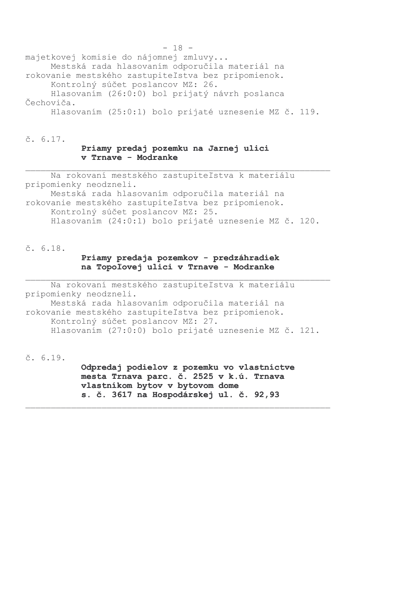majetkovej komisie do nájomnej zmluvy... Mestská rada hlasovaním odporučila materiál na rokovanie mestského zastupiteľstva bez pripomienok. Kontrolný súčet poslancov MZ: 26. Hlasovaním (26:0:0) bol prijatý návrh poslanca Čechoviča.

Hlasovaním (25:0:1) bolo prijaté uznesenie MZ č. 119.

 $\check{c}$ , 6.17.

#### Priamy predaj pozemku na Jarnej ulici v Trnave - Modranke

Na rokovaní mestského zastupiteľstva k materiálu pripomienky neodzneli.

Mestská rada hlasovaním odporučila materiál na rokovanie mestského zastupiteľstva bez pripomienok. Kontrolný súčet poslancov MZ: 25. Hlasovaním (24:0:1) bolo prijaté uznesenie MZ č. 120.

 $\check{c}$ . 6.18.

### Priamy predaja pozemkov - predzáhradiek na Topoľovej ulici v Trnave - Modranke

Na rokovaní mestského zastupiteľstva k materiálu pripomienky neodzneli. Mestská rada hlasovaním odporučila materiál na rokovanie mestského zastupiteľstva bez pripomienok. Kontrolný súčet poslancov MZ: 27. Hlasovaním (27:0:0) bolo prijaté uznesenie MZ č. 121.

č. 6.19.

Odpredaj podielov z pozemku vo vlastníctve mesta Trnava parc. č. 2525 v k.ú. Trnava vlastníkom bytov v bytovom dome s. č. 3617 na Hospodárskej ul. č. 92,93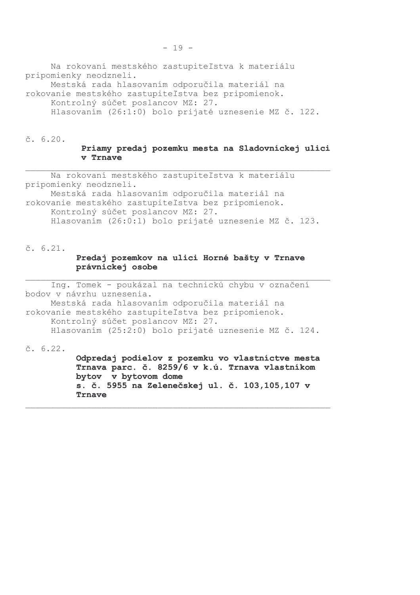Na rokovaní mestského zastupiteľstva k materiálu pripomienky neodzneli.

Mestská rada hlasovaním odporučila materiál na rokovanie mestského zastupiteľstva bez pripomienok. Kontrolný súčet poslancov MZ: 27.

Hlasovaním (26:1:0) bolo prijaté uznesenie MZ č. 122.

 $\check{c}$ , 6.20.

#### Priamy predaj pozemku mesta na Sladovníckej ulici v Trnave

Na rokovaní mestského zastupiteľstva k materiálu pripomienky neodzneli.

Mestská rada hlasovaním odporučila materiál na rokovanie mestského zastupiteľstva bez pripomienok. Kontrolný súčet poslancov MZ: 27. Hlasovaním (26:0:1) bolo prijaté uznesenie MZ č. 123.

 $\check{c}$ . 6.21.

### Predaj pozemkov na ulici Horné bašty v Trnave právnickej osobe

Ing. Tomek - poukázal na technickú chybu v označení bodov v návrhu uznesenia. Mestská rada hlasovaním odporučila materiál na rokovanie mestského zastupiteľstva bez pripomienok. Kontrolný súčet poslancov MZ: 27. Hlasovaním (25:2:0) bolo prijaté uznesenie MZ č. 124.

 $\check{c}$ , 6.22.

Odpredaj podielov z pozemku vo vlastníctve mesta Trnava parc. č. 8259/6 v k.ú. Trnava vlastníkom bytov v bytovom dome s. č. 5955 na Zelenečskej ul. č. 103,105,107 v Trnave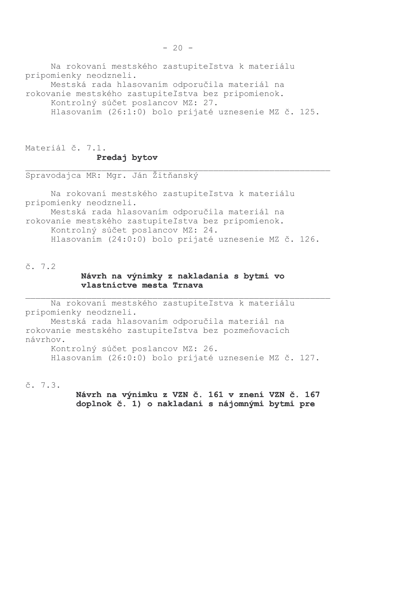Na rokovaní mestského zastupiteľstva k materiálu pripomienky neodzneli. Mestská rada hlasovaním odporučila materiál na rokovanie mestského zastupiteľstva bez pripomienok. Kontrolný súčet poslancov MZ: 27. Hlasovaním (26:1:0) bolo prijaté uznesenie MZ č. 125.

Materiál č. 7.1. Predaj bytov

Spravodajca MR: Mgr. Ján Žitňanský

Na rokovaní mestského zastupiteľstva k materiálu pripomienky neodzneli. Mestská rada hlasovaním odporučila materiál na rokovanie mestského zastupiteľstva bez pripomienok. Kontrolný súčet poslancov MZ: 24. Hlasovaním (24:0:0) bolo prijaté uznesenie MZ č. 126.

 $\check{c}$ . 7.2

### Návrh na výnimky z nakladania s bytmi vo vlastníctve mesta Trnava

Na rokovaní mestského zastupiteľstva k materiálu pripomienky neodzneli.

Mestská rada hlasovaním odporučila materiál na rokovanie mestského zastupiteľstva bez pozmeňovacích návrhov.

Kontrolný súčet poslancov MZ: 26. Hlasovaním (26:0:0) bolo prijaté uznesenie MZ č. 127.

 $\check{c}$ , 7.3.

Návrh na výnimku z VZN č. 161 v znení VZN č. 167 doplnok č. 1) o nakladaní s nájomnými bytmi pre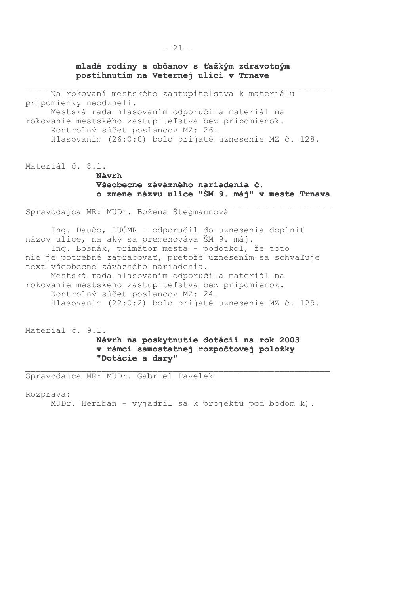### mladé rodiny a občanov s ťažkým zdravotným postihnutím na Veternej ulici v Trnave

Na rokovaní mestského zastupiteľstva k materiálu pripomienky neodzneli. Mestská rada hlasovaním odporučila materiál na rokovanie mestského zastupiteľstva bez pripomienok. Kontrolný súčet poslancov MZ: 26. Hlasovaním (26:0:0) bolo prijaté uznesenie MZ č. 128.

Materiál č. 8.1.

Návrh Všeobecne záväzného nariadenia č. o zmene názvu ulice "ŠM 9. máj" v meste Trnava

Spravodajca MR: MUDr. Božena Štegmannová

Ing. Daučo, DUČMR - odporučil do uznesenia doplniť názov ulice, na aký sa premenováva ŠM 9. máj. Ing. Bošnák, primátor mesta - podotkol, že toto nie je potrebné zapracovať, pretože uznesením sa schvaľuje text všeobecne záväzného nariadenia. Mestská rada hlasovaním odporučila materiál na rokovanie mestského zastupiteľstva bez pripomienok. Kontrolný súčet poslancov MZ: 24. Hlasovaním (22:0:2) bolo prijaté uznesenie MZ č. 129.

Materiál č. 9.1.

Návrh na poskytnutie dotácií na rok 2003 v rámci samostatnej rozpočtovej položky "Dotácie a dary"

Spravodajca MR: MUDr. Gabriel Pavelek

Rozprava:

MUDr. Heriban - vyjadril sa k projektu pod bodom k).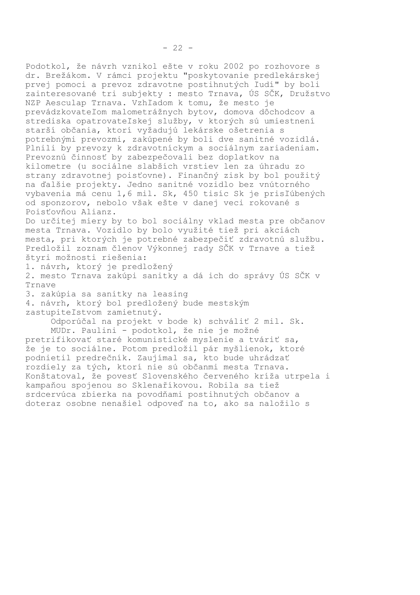Podotkol, že návrh vznikol ešte v roku 2002 po rozhovore s dr. Brežákom. V rámci projektu "poskytovanie predlekárskej prvej pomoci a prevoz zdravotne postihnutých ľudí" by boli zainteresované tri subjekty : mesto Trnava, ÚS SČK, Družstvo NZP Aesculap Trnava. Vzhľadom k tomu, že mesto je prevádzkovateľom malometrážnych bytov, domova dôchodcov a strediska opatrovateľskej služby, v ktorých sú umiestnení starší občania, ktorí vyžadujú lekárske ošetrenia s potrebnými prevozmi, zakúpené by boli dve sanitné vozidlá. Plnili by prevozy k zdravotníckym a sociálnym zariadeniam. Prevoznú činnosť by zabezpečovali bez doplatkov na kilometre (u sociálne slabších vrstiev len za úhradu zo strany zdravotnej poisťovne). Finančný zisk by bol použitý na ďalšie projekty. Jedno sanitné vozidlo bez vnútorného vybavenia má cenu 1,6 mil. Sk, 450 tisíc Sk je prisľúbených od sponzorov, nebolo však ešte v danej veci rokované s Poisťovňou Alianz.

Do určitej miery by to bol sociálny vklad mesta pre občanov mesta Trnava. Vozidlo by bolo využité tiež pri akciách mesta, pri ktorých je potrebné zabezpečiť zdravotnú službu. Predložil zoznam členov Výkonnej rady SČK v Trnave a tiež štyri možnosti riešenia:

1. návrh, ktorý je predložený

2. mesto Trnava zakúpi sanitky a dá ich do správy ÚS SČK v Trnave

3. zakúpia sa sanitky na leasing

4. návrh, ktorý bol predložený bude mestským zastupiteľstvom zamietnutý.

> Odporúčal na projekt v bode k) schváliť 2 mil. Sk. MUDr. Paulini - podotkol, že nie je možné

pretrifikovať staré komunistické myslenie a tváriť sa, že je to sociálne. Potom predložil pár myšlienok, ktoré podnietil predrečník. Zaujímal sa, kto bude uhrádzať rozdiely za tých, ktorí nie sú občanmi mesta Trnava. Konštatoval, že povesť Slovenského červeného kríža utrpela i kampaňou spojenou so Sklenaříkovou. Robila sa tiež srdcervúca zbierka na povodňami postihnutých občanov a doteraz osobne nenašiel odpoveď na to, ako sa naložilo s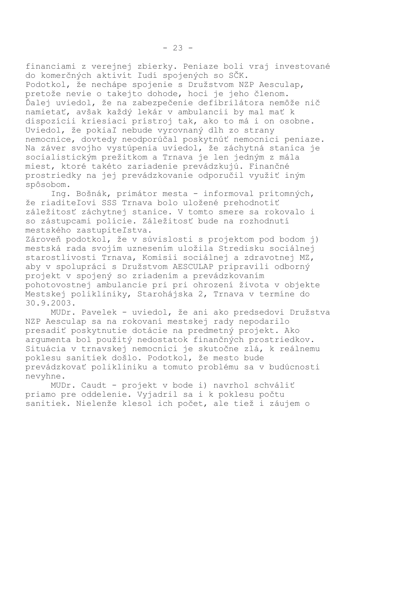financiami z verejnej zbierky. Peniaze boli vraj investované do komerčných aktivít ľudí spojených so SČK. Podotkol, že nechápe spojenie s Družstvom NZP Aesculap, pretože nevie o takejto dohode, hoci je jeho členom. Ďalej uviedol, že na zabezpečenie defibrilátora nemôže nič namietať, avšak každý lekár v ambulancii by mal mať k dispozícii kriesiaci prístroj tak, ako to má i on osobne. Uviedol, že pokiaľ nebude vyrovnaný dlh zo strany nemocnice, dovtedy neodporúčal poskytnúť nemocnici peniaze. Na záver svojho vystúpenia uviedol, že záchytná stanica je socialistickým prežitkom a Trnava je len jedným z mála miest, ktoré takéto zariadenie prevádzkujú. Finančné prostriedky na jej prevádzkovanie odporučil využiť iným spôsobom.

Ing. Bošnák, primátor mesta - informoval prítomných, že riaditeľovi SSS Trnava bolo uložené prehodnotiť záležitosť záchytnej stanice. V tomto smere sa rokovalo i so zástupcami polície. Záležitosť bude na rozhodnutí mestského zastupiteľstva.

Zároveň podotkol, že v súvislosti s projektom pod bodom j) mestská rada svojím uznesením uložila Stredisku sociálnej starostlivosti Trnava, Komisii sociálnej a zdravotnej MZ, aby v spolupráci s Družstvom AESCULAP pripravili odborný projekt v spojený so zriadením a prevádzkovaním pohotovostnej ambulancie pri pri ohrození života v objekte Mestskej polikliniky, Starohájska 2, Trnava v termíne do 30.9.2003.

MUDr. Pavelek - uviedol, že ani ako predsedovi Družstva NZP Aesculap sa na rokovaní mestskej rady nepodarilo presadiť poskytnutie dotácie na predmetný projekt. Ako arqumenta bol použitý nedostatok finančných prostriedkov. Situácia v trnavskej nemocnici je skutočne zlá, k reálnemu poklesu sanitiek došlo. Podotkol, že mesto bude prevádzkovať polikliniku a tomuto problému sa v budúcnosti nevyhne.

MUDr. Caudt - projekt v bode i) navrhol schváliť priamo pre oddelenie. Vviadril sa i k poklesu počtu sanitiek. Nielenže klesol ich počet, ale tiež i záujem o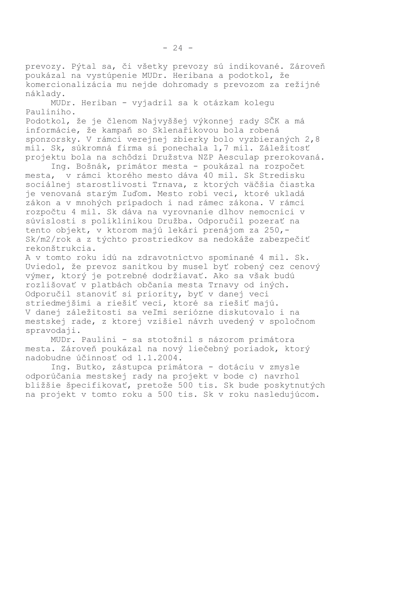prevozy. Pýtal sa, či všetky prevozy sú indikované. Zároveň poukázal na vystúpenie MUDr. Heribana a podotkol, že komercionalizácia mu nejde dohromady s prevozom za režijné nákladv.

MUDr. Heriban - vyjadril sa k otázkam kolegu Pauliniho.

Podotkol, že je členom Najvyššej výkonnej rady SČK a má informácie, že kampaň so Sklenaříkovou bola robená sponzorsky. V rámci verejnej zbierky bolo vyzbieraných 2,8 mil. Sk, súkromná firma si ponechala 1,7 mil. Záležitosť projektu bola na schôdzi Družstva NZP Aesculap prerokovaná.

Ing. Bošnák, primátor mesta - poukázal na rozpočet mesta, v rámci ktorého mesto dáva 40 mil. Sk Stredisku sociálnej starostlivosti Trnava, z ktorých väčšia čiastka je venovaná starým ľuďom. Mesto robí veci, ktoré ukladá zákon a v mnohých prípadoch i nad rámec zákona. V rámci rozpočtu 4 mil. Sk dáva na vyrovnanie dlhov nemocnici v súvislosti s poliklinikou Družba. Odporučil pozerať na tento objekt, v ktorom majú lekári prenájom za 250,-Sk/m2/rok a z týchto prostriedkov sa nedokáže zabezpečiť rekonštrukcia.

A v tomto roku idú na zdravotníctvo spomínané 4 mil. Sk. Uviedol, že prevoz sanitkou by musel byť robený cez cenový výmer, ktorý je potrebné dodržiavať. Ako sa však budú rozlišovať v platbách občania mesta Trnavy od iných. Odporučil stanoviť si priority, byť v danej veci striedmejšími a riešiť veci, ktoré sa riešiť majú. V danej záležitosti sa veľmi seriózne diskutovalo i na mestskej rade, z ktorej vzišiel návrh uvedený v spoločnom spravodaji.

MUDr. Paulini - sa stotožnil s názorom primátora mesta. Zároveň poukázal na nový liečebný poriadok, ktorý nadobudne účinnosť od 1.1.2004.

Ing. Butko, zástupca primátora - dotáciu v zmysle odporúčania mestskej rady na projekt v bode c) navrhol bližšie špecifikovať, pretože 500 tis. Sk bude poskytnutých na projekt v tomto roku a 500 tis. Sk v roku nasledujúcom.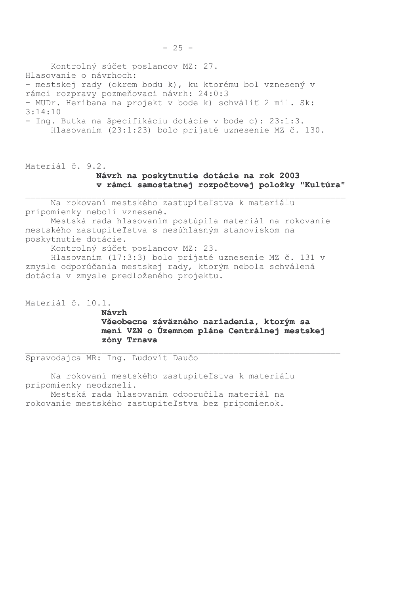Kontrolný súčet poslancov MZ: 27. Hlasovanie o návrhoch: - mestskej rady (okrem bodu k), ku ktorému bol vznesený v rámci rozpravy pozmeňovací návrh: 24:0:3 - MUDr. Heribana na projekt v bode k) schváliť 2 mil. Sk:  $3:14:10$ - Ing. Butka na špecifikáciu dotácie v bode c): 23:1:3. Hlasovaním (23:1:23) bolo prijaté uznesenie MZ č. 130.

Materiál č. 9.2. Návrh na poskytnutie dotácie na rok 2003 v rámci samostatnej rozpočtovej položky "Kultúra"

Na rokovaní mestského zastupiteľstva k materiálu pripomienky neboli vznesené. Mestská rada hlasovaním postúpila materiál na rokovanie mestského zastupiteľstva s nesúhlasným stanoviskom na poskytnutie dotácie.

Kontrolný súčet poslancov MZ: 23.

Hlasovaním (17:3:3) bolo prijaté uznesenie MZ č. 131 v zmysle odporúčania mestskej rady, ktorým nebola schválená dotácia v zmysle predloženého projektu.

Materiál č. 10.1.

Návrh Všeobecne záväzného nariadenia, ktorým sa mení VZN o Územnom pláne Centrálnej mestskej zóny Trnava

Spravodajca MR: Ing. Ľudovít Daučo

Na rokovaní mestského zastupiteľstva k materiálu pripomienky neodzneli.

Mestská rada hlasovaním odporučila materiál na rokovanie mestského zastupiteľstva bez pripomienok.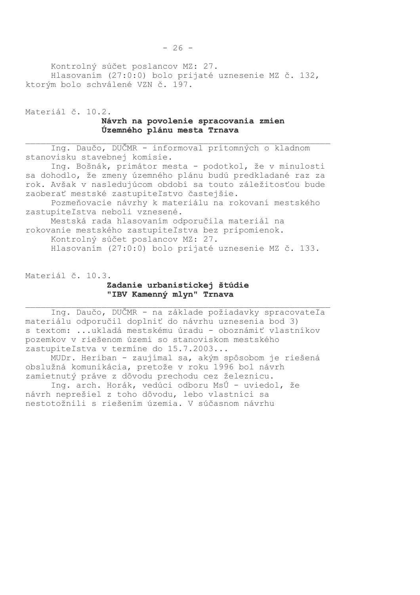Kontrolný súčet poslancov MZ: 27. Hlasovaním (27:0:0) bolo prijaté uznesenie MZ č. 132, ktorým bolo schválené VZN č. 197.

Materiál č. 10.2. Návrh na povolenie spracovania zmien Územného plánu mesta Trnava

Ing. Daučo, DUČMR - informoval prítomných o kladnom stanovisku stavebnej komisie.

Ing. Bošnák, primátor mesta - podotkol, že v minulosti sa dohodlo, že zmeny územného plánu budú predkladané raz za rok. Avšak v nasledujúcom období sa touto záležitosťou bude zaoberať mestské zastupiteľstvo častejšie.

Pozmeňovacie návrhy k materiálu na rokovaní mestského zastupiteľstva neboli vznesené.

Mestská rada hlasovaním odporučila materiál na rokovanie mestského zastupiteľstva bez pripomienok. Kontrolný súčet poslancov MZ: 27.

Hlasovaním (27:0:0) bolo prijaté uznesenie MZ č. 133.

Materiál č. 10.3.

#### Zadanie urbanistickej štúdie "IBV Kamenný mlyn" Trnava

Ing. Daučo, DUČMR - na základe požiadavky spracovateľa materiálu odporučil doplniť do návrhu uznesenia bod 3) s textom: ...ukladá mestskému úradu - oboznámiť vlastníkov pozemkov v riešenom území so stanoviskom mestského zastupiteľstva v termíne do 15.7.2003...

MUDr. Heriban - zaujímal sa, akým spôsobom je riešená obslužná komunikácia, pretože v roku 1996 bol návrh zamietnutý práve z dôvodu prechodu cez železnicu.

Ing. arch. Horák, vedúci odboru MsÚ - uviedol, že návrh neprešiel z toho dôvodu, lebo vlastníci sa nestotožnili s riešením územia. V súčasnom návrhu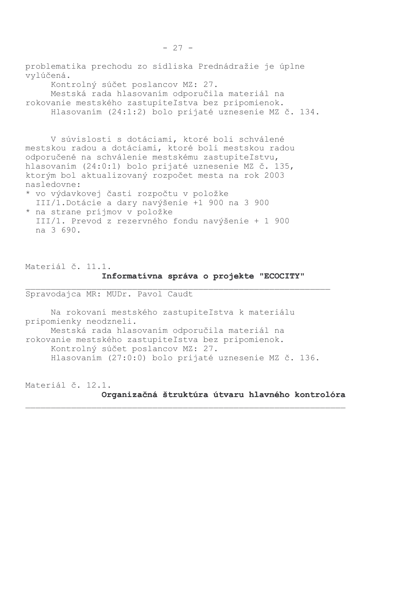problematika prechodu zo sídliska Prednádražie je úplne vylúčená. Kontrolný súčet poslancov MZ: 27. Mestská rada hlasovaním odporučila materiál na rokovanie mestského zastupiteľstva bez pripomienok.

Hlasovaním (24:1:2) bolo prijaté uznesenie MZ č. 134.

V súvislosti s dotáciami, ktoré boli schválené mestskou radou a dotáciami, ktoré boli mestskou radou odporučené na schválenie mestskému zastupiteľstvu, hlasovaním (24:0:1) bolo prijaté uznesenie MZ č. 135, ktorým bol aktualizovaný rozpočet mesta na rok 2003 nasledovne:

- \* vo výdavkovej časti rozpočtu v položke III/1. Dotácie a dary navýšenie +1 900 na 3 900
- \* na strane príjmov v položke III/1. Prevod z rezervného fondu navýšenie + 1 900 na 3 690.

Materiál č. 11.1. Informativna správa o projekte "ECOCITY"

Spravodajca MR: MUDr. Pavol Caudt

Na rokovaní mestského zastupiteľstva k materiálu pripomienky neodzneli. Mestská rada hlasovaním odporučila materiál na rokovanie mestského zastupiteľstva bez pripomienok. Kontrolný súčet poslancov MZ: 27. Hlasovaním (27:0:0) bolo prijaté uznesenie MZ č. 136.

Materiál č. 12.1.

Organizačná štruktúra útvaru hlavného kontrolóra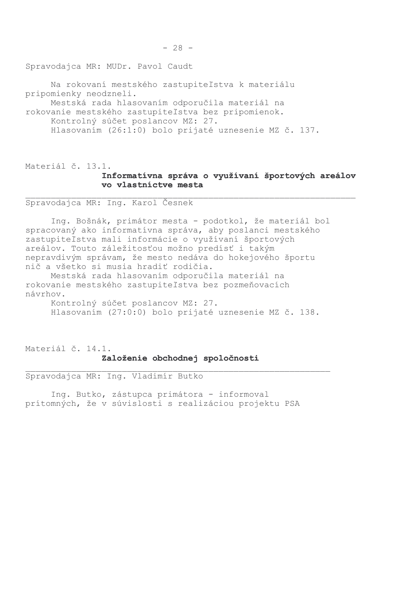Spravodajca MR: MUDr. Pavol Caudt

Na rokovaní mestského zastupiteľstva k materiálu pripomienky neodzneli. Mestská rada hlasovaním odporučila materiál na rokovanie mestského zastupiteľstva bez pripomienok. Kontrolný súčet poslancov MZ: 27. Hlasovaním (26:1:0) bolo prijaté uznesenie MZ č. 137.

# Materiál č. 13.1. Informatívna správa o využívaní športových areálov vo vlastníctve mesta

Spravodajca MR: Ing. Karol Česnek

Ing. Bošnák, primátor mesta - podotkol, že materiál bol spracovaný ako informatívna správa, aby poslanci mestského zastupiteľstva mali informácie o využívaní športových areálov. Touto záležitosťou možno predísť i takým nepravdivým správam, že mesto nedáva do hokejového športu nič a všetko si musia hradiť rodičia.

Mestská rada hlasovaním odporučila materiál na rokovanie mestského zastupiteľstva bez pozmeňovacích návrhov.

Kontrolný súčet poslancov MZ: 27. Hlasovaním (27:0:0) bolo prijaté uznesenie MZ č. 138.

Materiál č. 14.1. Založenie obchodnej spoločnosti

Spravodajca MR: Ing. Vladimír Butko

Ing. Butko, zástupca primátora - informoval prítomných, že v súvislosti s realizáciou projektu PSA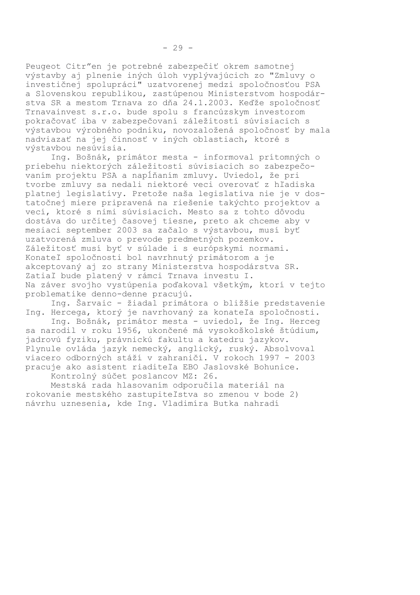Peugeot Citr"en je potrebné zabezpečiť okrem samotnej výstavby aj plnenie iných úloh vyplývajúcich zo "Zmluvy o investičnej spolupráci" uzatvorenej medzi spoločnosťou PSA a Slovenskou republikou, zastúpenou Ministerstvom hospodárstva SR a mestom Trnava zo dňa 24.1.2003. Keďže spoločnosť Trnavainvest s.r.o. bude spolu s francúzskym investorom pokračovať iba v zabezpečovaní záležitostí súvisiacich s výstavbou výrobného podniku, novozaložená spoločnosť by mala nadviazať na jej činnosť v iných oblastiach, ktoré s výstavbou nesúvisia.

Ing. Bošnák, primátor mesta - informoval prítomných o priebehu niektorých záležitostí súvisiacich so zabezpečovaním projektu PSA a napĺňaním zmluvy. Uviedol, že pri tvorbe zmluvy sa nedali niektoré veci overovať z hľadiska platnej legislatívy. Pretože naša legislatíva nie je v dostatočnej miere pripravená na riešenie takýchto projektov a vecí, ktoré s nimi súvisiacich. Mesto sa z tohto dôvodu dostáva do určitej časovej tiesne, preto ak chceme aby v mesiaci september 2003 sa začalo s výstavbou, musí byť uzatvorená zmluva o prevode predmetných pozemkov. Záležitosť musí byť v súlade i s európskymi normami. Konateľ spoločnosti bol navrhnutý primátorom a je akceptovaný aj zo strany Ministerstva hospodárstva SR. Zatiaľ bude platený v rámci Trnava investu I. Na záver svojho vystúpenia poďakoval všetkým, ktorí v tejto problematike denno-denne pracujú.

Ing. Šarvaic - žiadal primátora o bližšie predstavenie Ing. Hercega, ktorý je navrhovaný za konateľa spoločnosti.

Ing. Bošnák, primátor mesta - uviedol, že Ing. Herceg sa narodil v roku 1956, ukončené má vysokoškolské štúdium, jadrovú fyziku, právnickú fakultu a katedru jazykov. Plynule ovláda jazyk nemecký, anglický, ruský. Absolvoval viacero odborných stáží v zahraničí. V rokoch 1997 - 2003 pracuje ako asistent riaditeľa EBO Jaslovské Bohunice.

Kontrolný súčet poslancov MZ: 26.

Mestská rada hlasovaním odporučila materiál na rokovanie mestského zastupiteľstva so zmenou v bode 2) návrhu uznesenia, kde Ing. Vladimíra Butka nahradí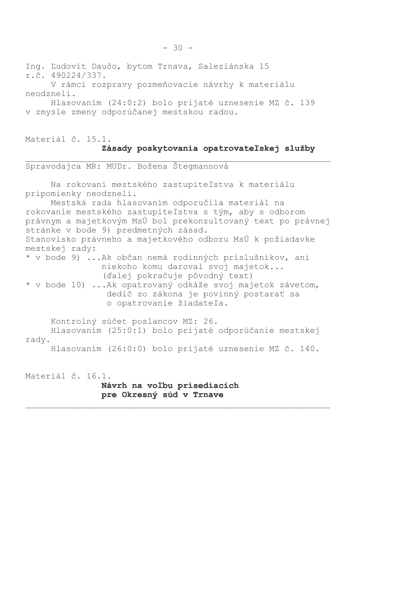Ing. Ľudovít Daučo, bytom Trnava, Saleziánska 15 r.č. 490224/337. V rámci rozpravy pozmeňovacie návrhy k materiálu neodzneli. Hlasovaním (24:0:2) bolo prijaté uznesenie MZ č. 139 v zmysle zmeny odporúčanej mestskou radou.

### Materiál č. 15.1. Zásady poskytovania opatrovateľskej služby

Spravodajca MR: MUDr. Božena Štegmannová Na rokovaní mestského zastupiteľstva k materiálu pripomienky neodzneli. Mestská rada hlasovaním odporučila materiál na rokovanie mestského zastupiteľstva s tým, aby s odborom právnym a majetkovým MsÚ bol prekonzultovaný text po právnej stránke v bode 9) predmetných zásad. Stanovisko právneho a majetkového odboru MsÚ k požiadavke mestskej rady: \* v bode 9) ...Ak občan nemá rodinných príslušníkov, ani niekoho komu daroval svoj majetok... (ďalej pokračuje pôvodný text) \* v bode 10) ... Ak opatrovaný odkáže svoj majetok závetom, dedič zo zákona je povinný postarať sa o opatrovanie žiadateľa. Kontrolný súčet poslancov MZ: 26. Hlasovaním (25:0:1) bolo prijaté odporúčanie mestskej rady. Hlasovaním (26:0:0) bolo prijaté uznesenie MZ č. 140. Materiál č. 16.1.

Návrh na voľbu prísediacich pre Okresný súd v Trnave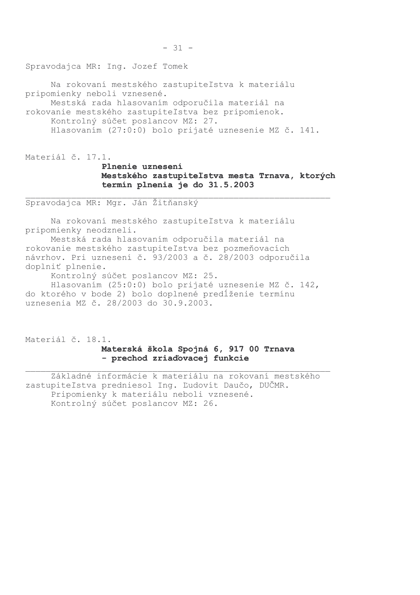Spravodajca MR: Ing. Jozef Tomek

Na rokovaní mestského zastupiteľstva k materiálu pripomienky neboli vznesené. Mestská rada hlasovaním odporučila materiál na rokovanie mestského zastupiteľstva bez pripomienok.

Kontrolný súčet poslancov MZ: 27. Hlasovaním (27:0:0) bolo prijaté uznesenie MZ č. 141.

Materiál č. 17.1.

# Plnenie uznesení Mestského zastupiteľstva mesta Trnava, ktorých termín plnenia je do 31.5.2003

Spravodajca MR: Mgr. Ján Žitňanský

Na rokovaní mestského zastupiteľstva k materiálu pripomienky neodzneli.

Mestská rada hlasovaním odporučila materiál na rokovanie mestského zastupiteľstva bez pozmeňovacích návrhov. Pri uznesení č. 93/2003 a č. 28/2003 odporučila doplniť plnenie.

Kontrolný súčet poslancov MZ: 25.

Hlasovaním (25:0:0) bolo prijaté uznesenie MZ č. 142, do ktorého v bode 2) bolo doplnené predĺženie termínu uznesenia MZ č. 28/2003 do 30.9.2003.

Materiál č. 18.1. Materská škola Spojná 6, 917 00 Trnava - prechod zriaďovacej funkcie

Základné informácie k materiálu na rokovaní mestského zastupiteľstva predniesol Ing. Ľudovít Daučo, DUČMR. Pripomienky k materiálu neboli vznesené. Kontrolný súčet poslancov MZ: 26.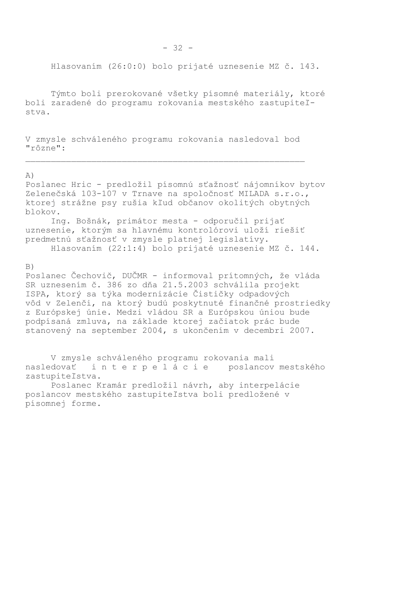Hlasovaním (26:0:0) bolo prijaté uznesenie MZ č. 143.

Týmto boli prerokované všetky písomné materiály, ktoré boli zaradené do programu rokovania mestského zastupiteľstva.

V zmysle schváleného programu rokovania nasledoval bod "rôzne":

#### $A)$

Poslanec Hric - predložil písomnú sťažnosť nájomníkov bytov Zelenečská 103-107 v Trnave na spoločnosť MILADA s.r.o., ktorej strážne psy rušia kľud občanov okolitých obytných blokov. Ing. Bošnák, primátor mesta - odporučil prijať uznesenie, ktorým sa hlavnému kontrolórovi uloží riešiť predmetnú sťažnosť v zmysle platnej legislatívy. Hlasovaním (22:1:4) bolo prijaté uznesenie MZ č. 144.

#### $B)$

Poslanec Čechovič, DUČMR - informoval prítomných, že vláda SR uznesením č. 386 zo dňa 21.5.2003 schválila projekt ISPA, ktorý sa týka modernizácie Čističky odpadových vôd v Zelenči, na ktorý budú poskytnuté finančné prostriedky z Európskej únie. Medzi vládou SR a Európskou úniou bude podpísaná zmluva, na základe ktorej začiatok prác bude stanovený na september 2004, s ukončením v decembri 2007.

V zmysle schváleného programu rokovania mali nasledovať interpelácie poslancov mestského zastupiteľstva.

Poslanec Kramár predložil návrh, aby interpelácie poslancov mestského zastupiteľstva boli predložené v písomnej forme.